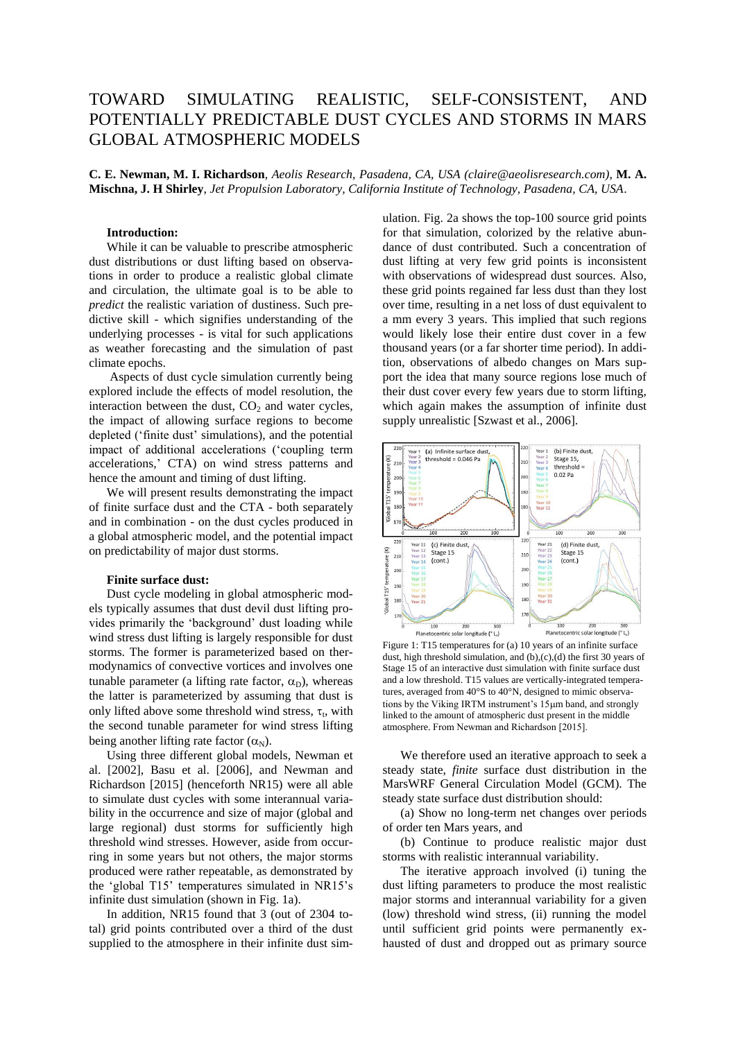# TOWARD SIMULATING REALISTIC, SELF-CONSISTENT, AND POTENTIALLY PREDICTABLE DUST CYCLES AND STORMS IN MARS GLOBAL ATMOSPHERIC MODELS

**C. E. Newman, M. I. Richardson**, *Aeolis Research, Pasadena, CA, USA (claire@aeolisresearch.com)*, **M. A. Mischna, J. H Shirley**, *Jet Propulsion Laboratory, California Institute of Technology, Pasadena, CA, USA*.

# **Introduction:**

While it can be valuable to prescribe atmospheric dust distributions or dust lifting based on observations in order to produce a realistic global climate and circulation, the ultimate goal is to be able to *predict* the realistic variation of dustiness. Such predictive skill - which signifies understanding of the underlying processes - is vital for such applications as weather forecasting and the simulation of past climate epochs.

Aspects of dust cycle simulation currently being explored include the effects of model resolution, the interaction between the dust,  $CO<sub>2</sub>$  and water cycles, the impact of allowing surface regions to become depleted ('finite dust' simulations), and the potential impact of additional accelerations ('coupling term accelerations,' CTA) on wind stress patterns and hence the amount and timing of dust lifting.

We will present results demonstrating the impact of finite surface dust and the CTA - both separately and in combination - on the dust cycles produced in a global atmospheric model, and the potential impact on predictability of major dust storms.

# **Finite surface dust:**

Dust cycle modeling in global atmospheric models typically assumes that dust devil dust lifting provides primarily the 'background' dust loading while wind stress dust lifting is largely responsible for dust storms. The former is parameterized based on thermodynamics of convective vortices and involves one tunable parameter (a lifting rate factor,  $\alpha_D$ ), whereas the latter is parameterized by assuming that dust is only lifted above some threshold wind stress,  $\tau_t$ , with the second tunable parameter for wind stress lifting being another lifting rate factor  $(\alpha_N)$ .

Using three different global models, Newman et al. [2002], Basu et al. [2006], and Newman and Richardson [2015] (henceforth NR15) were all able to simulate dust cycles with some interannual variability in the occurrence and size of major (global and large regional) dust storms for sufficiently high threshold wind stresses. However, aside from occurring in some years but not others, the major storms produced were rather repeatable, as demonstrated by the 'global T15' temperatures simulated in NR15's infinite dust simulation (shown in Fig. 1a).

In addition, NR15 found that 3 (out of 2304 total) grid points contributed over a third of the dust supplied to the atmosphere in their infinite dust simulation. Fig. 2a shows the top-100 source grid points for that simulation, colorized by the relative abundance of dust contributed. Such a concentration of dust lifting at very few grid points is inconsistent with observations of widespread dust sources. Also, these grid points regained far less dust than they lost over time, resulting in a net loss of dust equivalent to a mm every 3 years. This implied that such regions would likely lose their entire dust cover in a few thousand years (or a far shorter time period). In addition, observations of albedo changes on Mars support the idea that many source regions lose much of their dust cover every few years due to storm lifting, which again makes the assumption of infinite dust supply unrealistic [Szwast et al., 2006].



Figure 1: T15 temperatures for (a) 10 years of an infinite surface dust, high threshold simulation, and (b),(c),(d) the first 30 years of Stage 15 of an interactive dust simulation with finite surface dust and a low threshold. T15 values are vertically-integrated temperatures, averaged from 40°S to 40°N, designed to mimic observations by the Viking IRTM instrument's 15µm band, and strongly linked to the amount of atmospheric dust present in the middle atmosphere. From Newman and Richardson [2015].

We therefore used an iterative approach to seek a steady state, *finite* surface dust distribution in the MarsWRF General Circulation Model (GCM). The steady state surface dust distribution should:

(a) Show no long-term net changes over periods of order ten Mars years, and

(b) Continue to produce realistic major dust storms with realistic interannual variability.

The iterative approach involved (i) tuning the dust lifting parameters to produce the most realistic major storms and interannual variability for a given (low) threshold wind stress, (ii) running the model until sufficient grid points were permanently exhausted of dust and dropped out as primary source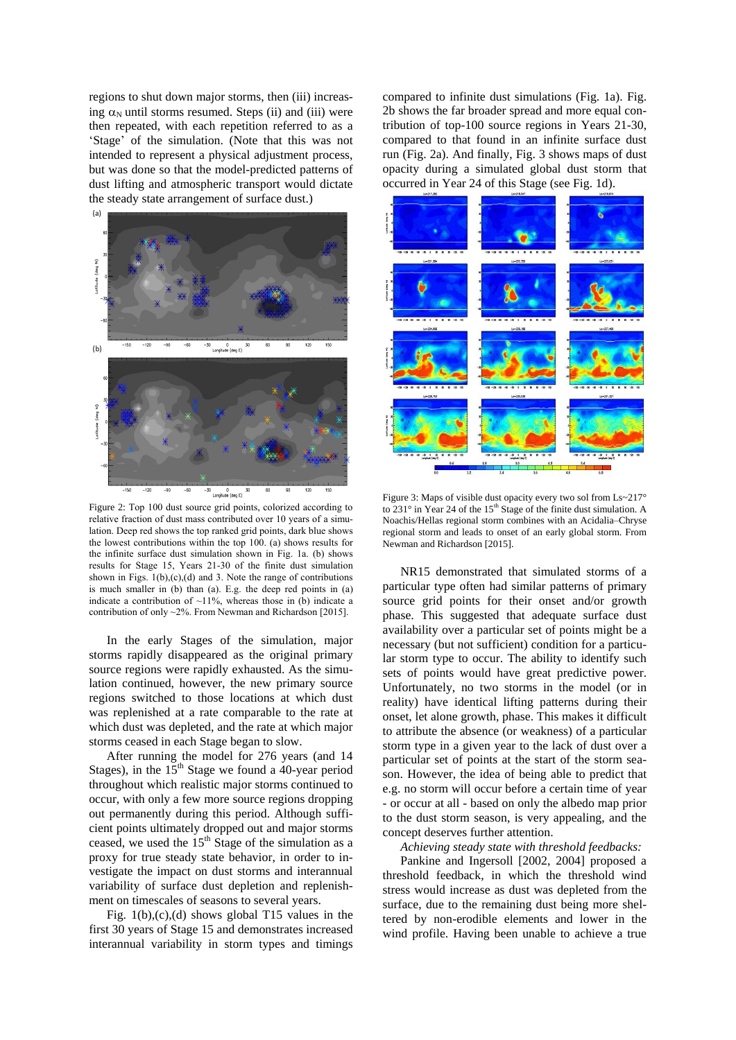regions to shut down major storms, then (iii) increasing  $\alpha_N$  until storms resumed. Steps (ii) and (iii) were then repeated, with each repetition referred to as a 'Stage' of the simulation. (Note that this was not intended to represent a physical adjustment process, but was done so that the model-predicted patterns of dust lifting and atmospheric transport would dictate the steady state arrangement of surface dust.)



Figure 2: Top 100 dust source grid points, colorized according to relative fraction of dust mass contributed over 10 years of a simulation. Deep red shows the top ranked grid points, dark blue shows the lowest contributions within the top 100. (a) shows results for the infinite surface dust simulation shown in Fig. 1a. (b) shows results for Stage 15, Years 21-30 of the finite dust simulation shown in Figs.  $1(b)$ ,(c),(d) and 3. Note the range of contributions is much smaller in (b) than (a). E.g. the deep red points in (a) indicate a contribution of  $\sim$ 11%, whereas those in (b) indicate a contribution of only ~2%. From Newman and Richardson [2015].

In the early Stages of the simulation, major storms rapidly disappeared as the original primary source regions were rapidly exhausted. As the simulation continued, however, the new primary source regions switched to those locations at which dust was replenished at a rate comparable to the rate at which dust was depleted, and the rate at which major storms ceased in each Stage began to slow.

After running the model for 276 years (and 14 Stages), in the  $15<sup>th</sup>$  Stage we found a 40-year period throughout which realistic major storms continued to occur, with only a few more source regions dropping out permanently during this period. Although sufficient points ultimately dropped out and major storms ceased, we used the  $15<sup>th</sup>$  Stage of the simulation as a proxy for true steady state behavior, in order to investigate the impact on dust storms and interannual variability of surface dust depletion and replenishment on timescales of seasons to several years.

Fig. 1(b),(c),(d) shows global T15 values in the first 30 years of Stage 15 and demonstrates increased interannual variability in storm types and timings

compared to infinite dust simulations (Fig. 1a). Fig. 2b shows the far broader spread and more equal contribution of top-100 source regions in Years 21-30, compared to that found in an infinite surface dust run (Fig. 2a). And finally, Fig. 3 shows maps of dust opacity during a simulated global dust storm that occurred in Year 24 of this Stage (see Fig. 1d).



Figure 3: Maps of visible dust opacity every two sol from Ls~217° to 231 $\degree$  in Year 24 of the 15<sup>th</sup> Stage of the finite dust simulation. A Noachis/Hellas regional storm combines with an Acidalia–Chryse regional storm and leads to onset of an early global storm. From Newman and Richardson [2015].

NR15 demonstrated that simulated storms of a particular type often had similar patterns of primary source grid points for their onset and/or growth phase. This suggested that adequate surface dust availability over a particular set of points might be a necessary (but not sufficient) condition for a particular storm type to occur. The ability to identify such sets of points would have great predictive power. Unfortunately, no two storms in the model (or in reality) have identical lifting patterns during their onset, let alone growth, phase. This makes it difficult to attribute the absence (or weakness) of a particular storm type in a given year to the lack of dust over a particular set of points at the start of the storm season. However, the idea of being able to predict that e.g. no storm will occur before a certain time of year - or occur at all - based on only the albedo map prior to the dust storm season, is very appealing, and the concept deserves further attention.

*Achieving steady state with threshold feedbacks:*

Pankine and Ingersoll [2002, 2004] proposed a threshold feedback, in which the threshold wind stress would increase as dust was depleted from the surface, due to the remaining dust being more sheltered by non-erodible elements and lower in the wind profile. Having been unable to achieve a true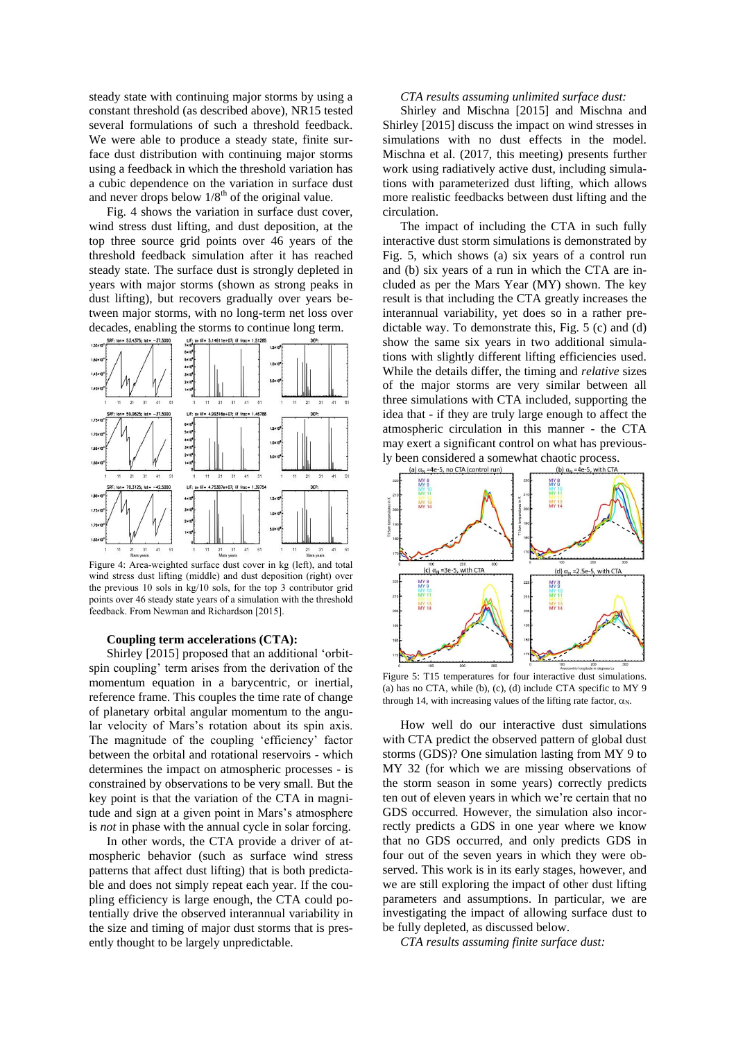steady state with continuing major storms by using a constant threshold (as described above), NR15 tested several formulations of such a threshold feedback. We were able to produce a steady state, finite surface dust distribution with continuing major storms using a feedback in which the threshold variation has a cubic dependence on the variation in surface dust and never drops below  $1/8^{th}$  of the original value.

Fig. 4 shows the variation in surface dust cover, wind stress dust lifting, and dust deposition, at the top three source grid points over 46 years of the threshold feedback simulation after it has reached steady state. The surface dust is strongly depleted in years with major storms (shown as strong peaks in dust lifting), but recovers gradually over years between major storms, with no long-term net loss over decades, enabling the storms to continue long term.



Figure 4: Area-weighted surface dust cover in kg (left), and total wind stress dust lifting (middle) and dust deposition (right) over the previous 10 sols in kg/10 sols, for the top 3 contributor grid points over 46 steady state years of a simulation with the threshold feedback. From Newman and Richardson [2015].

### **Coupling term accelerations (CTA):**

Shirley [2015] proposed that an additional 'orbitspin coupling' term arises from the derivation of the momentum equation in a barycentric, or inertial, reference frame. This couples the time rate of change of planetary orbital angular momentum to the angular velocity of Mars's rotation about its spin axis. The magnitude of the coupling 'efficiency' factor between the orbital and rotational reservoirs - which determines the impact on atmospheric processes - is constrained by observations to be very small. But the key point is that the variation of the CTA in magnitude and sign at a given point in Mars's atmosphere is *not* in phase with the annual cycle in solar forcing.

In other words, the CTA provide a driver of atmospheric behavior (such as surface wind stress patterns that affect dust lifting) that is both predictable and does not simply repeat each year. If the coupling efficiency is large enough, the CTA could potentially drive the observed interannual variability in the size and timing of major dust storms that is presently thought to be largely unpredictable.

### *CTA results assuming unlimited surface dust:*

Shirley and Mischna [2015] and Mischna and Shirley [2015] discuss the impact on wind stresses in simulations with no dust effects in the model. Mischna et al. (2017, this meeting) presents further work using radiatively active dust, including simulations with parameterized dust lifting, which allows more realistic feedbacks between dust lifting and the circulation.

The impact of including the CTA in such fully interactive dust storm simulations is demonstrated by Fig. 5, which shows (a) six years of a control run and (b) six years of a run in which the CTA are included as per the Mars Year (MY) shown. The key result is that including the CTA greatly increases the interannual variability, yet does so in a rather predictable way. To demonstrate this, Fig. 5 (c) and (d) show the same six years in two additional simulations with slightly different lifting efficiencies used. While the details differ, the timing and *relative* sizes of the major storms are very similar between all three simulations with CTA included, supporting the idea that - if they are truly large enough to affect the atmospheric circulation in this manner - the CTA may exert a significant control on what has previously been considered a somewhat chaotic process.



Figure 5: T15 temperatures for four interactive dust simulations. (a) has no CTA, while (b), (c), (d) include CTA specific to MY 9 through 14, with increasing values of the lifting rate factor,  $\alpha_N$ .

How well do our interactive dust simulations with CTA predict the observed pattern of global dust storms (GDS)? One simulation lasting from MY 9 to MY 32 (for which we are missing observations of the storm season in some years) correctly predicts ten out of eleven years in which we're certain that no GDS occurred*.* However, the simulation also incorrectly predicts a GDS in one year where we know that no GDS occurred, and only predicts GDS in four out of the seven years in which they were observed. This work is in its early stages, however, and we are still exploring the impact of other dust lifting parameters and assumptions. In particular, we are investigating the impact of allowing surface dust to be fully depleted, as discussed below.

*CTA results assuming finite surface dust:*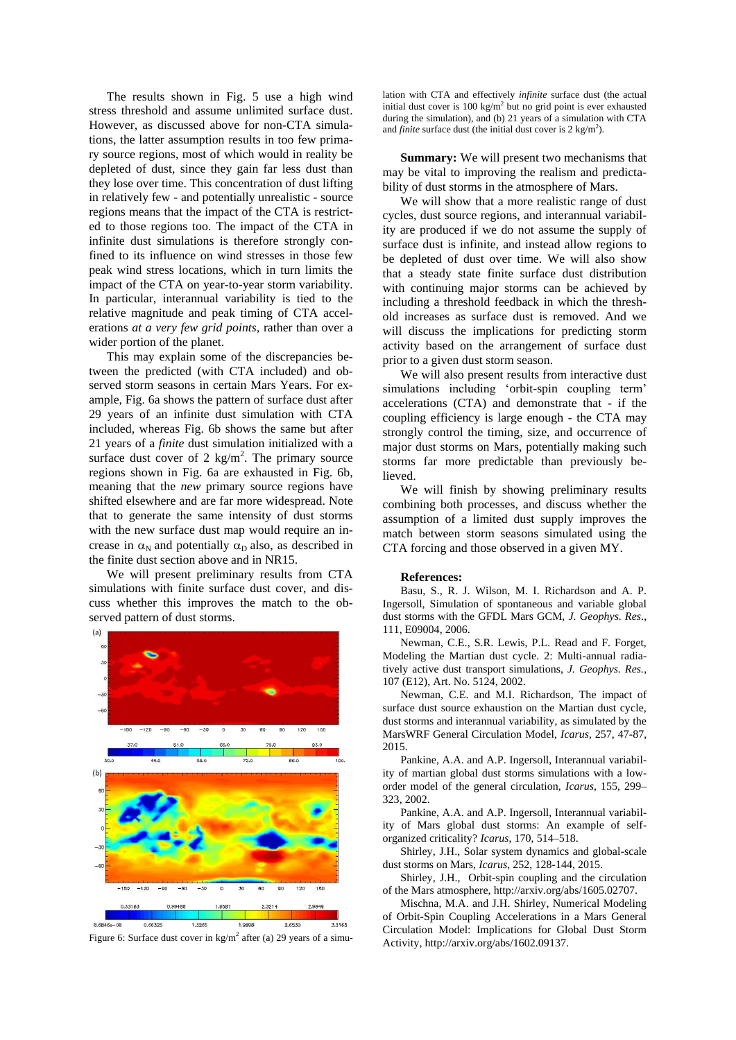The results shown in Fig. 5 use a high wind stress threshold and assume unlimited surface dust. However, as discussed above for non-CTA simulations, the latter assumption results in too few primary source regions, most of which would in reality be depleted of dust, since they gain far less dust than they lose over time. This concentration of dust lifting in relatively few - and potentially unrealistic - source regions means that the impact of the CTA is restricted to those regions too. The impact of the CTA in infinite dust simulations is therefore strongly confined to its influence on wind stresses in those few peak wind stress locations, which in turn limits the impact of the CTA on year-to-year storm variability. In particular, interannual variability is tied to the relative magnitude and peak timing of CTA accelerations *at a very few grid points*, rather than over a wider portion of the planet.

This may explain some of the discrepancies between the predicted (with CTA included) and observed storm seasons in certain Mars Years. For example, Fig. 6a shows the pattern of surface dust after 29 years of an infinite dust simulation with CTA included, whereas Fig. 6b shows the same but after 21 years of a *finite* dust simulation initialized with a surface dust cover of 2  $\text{kg/m}^2$ . The primary source regions shown in Fig. 6a are exhausted in Fig. 6b, meaning that the *new* primary source regions have shifted elsewhere and are far more widespread. Note that to generate the same intensity of dust storms with the new surface dust map would require an increase in  $\alpha_N$  and potentially  $\alpha_D$  also, as described in the finite dust section above and in NR15.

We will present preliminary results from CTA simulations with finite surface dust cover, and discuss whether this improves the match to the observed pattern of dust storms.



Figure 6: Surface dust cover in  $\text{kg/m}^2$  after (a) 29 years of a simu-

lation with CTA and effectively *infinite* surface dust (the actual initial dust cover is  $100 \text{ kg/m}^2$  but no grid point is ever exhausted during the simulation), and (b) 21 years of a simulation with CTA and *finite* surface dust (the initial dust cover is  $2 \text{ kg/m}^2$ ).

**Summary:** We will present two mechanisms that may be vital to improving the realism and predictability of dust storms in the atmosphere of Mars.

We will show that a more realistic range of dust cycles, dust source regions, and interannual variability are produced if we do not assume the supply of surface dust is infinite, and instead allow regions to be depleted of dust over time. We will also show that a steady state finite surface dust distribution with continuing major storms can be achieved by including a threshold feedback in which the threshold increases as surface dust is removed. And we will discuss the implications for predicting storm activity based on the arrangement of surface dust prior to a given dust storm season.

We will also present results from interactive dust simulations including 'orbit-spin coupling term' accelerations (CTA) and demonstrate that - if the coupling efficiency is large enough - the CTA may strongly control the timing, size, and occurrence of major dust storms on Mars, potentially making such storms far more predictable than previously believed.

We will finish by showing preliminary results combining both processes, and discuss whether the assumption of a limited dust supply improves the match between storm seasons simulated using the CTA forcing and those observed in a given MY.

#### **References:**

Basu, S., R. J. Wilson, M. I. Richardson and A. P. Ingersoll, Simulation of spontaneous and variable global dust storms with the GFDL Mars GCM, *J. Geophys. Res*., 111, E09004, 2006.

Newman, C.E., S.R. Lewis, P.L. Read and F. Forget, Modeling the Martian dust cycle. 2: Multi-annual radiatively active dust transport simulations, *J. Geophys. Res.*, 107 (E12), Art. No. 5124, 2002.

Newman, C.E. and M.I. Richardson, The impact of surface dust source exhaustion on the Martian dust cycle, dust storms and interannual variability, as simulated by the MarsWRF General Circulation Model, *Icarus*, 257, 47-87, 2015.

Pankine, A.A. and A.P. Ingersoll, Interannual variability of martian global dust storms simulations with a loworder model of the general circulation, *Icarus*, 155, 299– 323, 2002.

Pankine, A.A. and A.P. Ingersoll, Interannual variability of Mars global dust storms: An example of selforganized criticality? *Icarus*, 170, 514–518.

Shirley, J.H., Solar system dynamics and global-scale dust storms on Mars, *Icarus*, 252, 128-144, 2015.

Shirley, J.H., Orbit-spin coupling and the circulation of the Mars atmosphere, http://arxiv.org/abs/1605.02707.

Mischna, M.A. and J.H. Shirley, Numerical Modeling of Orbit-Spin Coupling Accelerations in a Mars General Circulation Model: Implications for Global Dust Storm Activity, http://arxiv.org/abs/1602.09137.